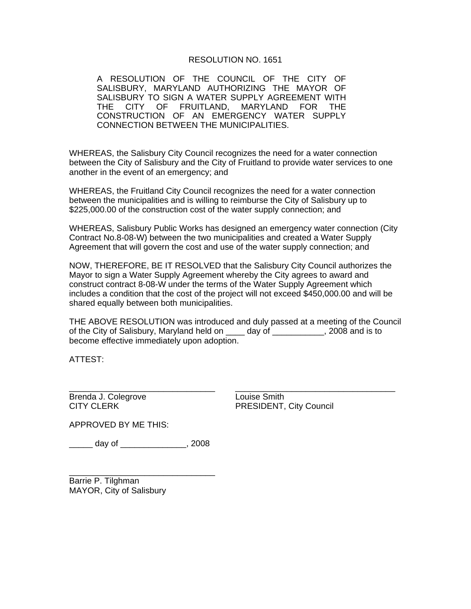## RESOLUTION NO. 1651

A RESOLUTION OF THE COUNCIL OF THE CITY OF SALISBURY, MARYLAND AUTHORIZING THE MAYOR OF SALISBURY TO SIGN A WATER SUPPLY AGREEMENT WITH THE CITY OF FRUITLAND, MARYLAND FOR THE CONSTRUCTION OF AN EMERGENCY WATER SUPPLY CONNECTION BETWEEN THE MUNICIPALITIES.

WHEREAS, the Salisbury City Council recognizes the need for a water connection between the City of Salisbury and the City of Fruitland to provide water services to one another in the event of an emergency; and

WHEREAS, the Fruitland City Council recognizes the need for a water connection between the municipalities and is willing to reimburse the City of Salisbury up to \$225,000.00 of the construction cost of the water supply connection; and

WHEREAS, Salisbury Public Works has designed an emergency water connection (City Contract No.8-08-W) between the two municipalities and created a Water Supply Agreement that will govern the cost and use of the water supply connection; and

NOW, THEREFORE, BE IT RESOLVED that the Salisbury City Council authorizes the Mayor to sign a Water Supply Agreement whereby the City agrees to award and construct contract 8-08-W under the terms of the Water Supply Agreement which includes a condition that the cost of the project will not exceed \$450,000.00 and will be shared equally between both municipalities.

THE ABOVE RESOLUTION was introduced and duly passed at a meeting of the Council of the City of Salisbury, Maryland held on \_\_\_\_ day of \_\_\_\_\_\_\_\_\_\_\_, 2008 and is to become effective immediately upon adoption.

\_\_\_\_\_\_\_\_\_\_\_\_\_\_\_\_\_\_\_\_\_\_\_\_\_\_\_\_\_\_\_ \_\_\_\_\_\_\_\_\_\_\_\_\_\_\_\_\_\_\_\_\_\_\_\_\_\_\_\_\_\_\_\_\_\_

ATTEST:

Brenda J. Colegrove **Louise Smith** 

CITY CLERK **CITY CLERK PRESIDENT**, City Council

APPROVED BY ME THIS:

\_\_\_\_\_ day of \_\_\_\_\_\_\_\_\_\_\_\_\_\_, 2008

\_\_\_\_\_\_\_\_\_\_\_\_\_\_\_\_\_\_\_\_\_\_\_\_\_\_\_\_\_\_\_ Barrie P. Tilghman MAYOR, City of Salisbury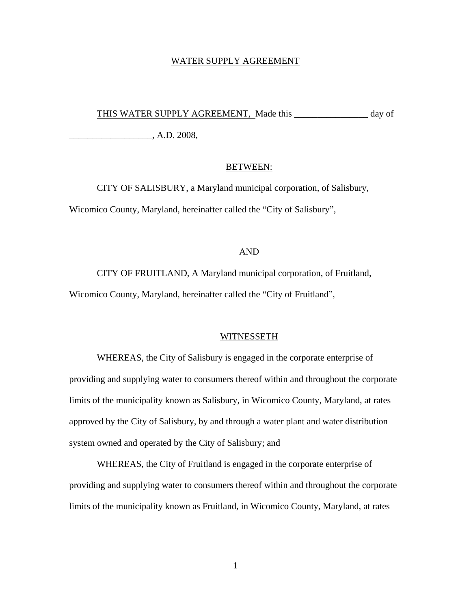#### WATER SUPPLY AGREEMENT

THIS WATER SUPPLY AGREEMENT, Made this \_\_\_\_\_\_\_\_\_\_\_\_\_\_\_\_ day of

\_\_\_\_\_\_\_\_\_\_\_\_\_\_\_\_\_\_, A.D. 2008,

#### BETWEEN:

CITY OF SALISBURY, a Maryland municipal corporation, of Salisbury, Wicomico County, Maryland, hereinafter called the "City of Salisbury",

### AND

CITY OF FRUITLAND, A Maryland municipal corporation, of Fruitland, Wicomico County, Maryland, hereinafter called the "City of Fruitland",

#### WITNESSETH

WHEREAS, the City of Salisbury is engaged in the corporate enterprise of providing and supplying water to consumers thereof within and throughout the corporate limits of the municipality known as Salisbury, in Wicomico County, Maryland, at rates approved by the City of Salisbury, by and through a water plant and water distribution system owned and operated by the City of Salisbury; and

WHEREAS, the City of Fruitland is engaged in the corporate enterprise of providing and supplying water to consumers thereof within and throughout the corporate limits of the municipality known as Fruitland, in Wicomico County, Maryland, at rates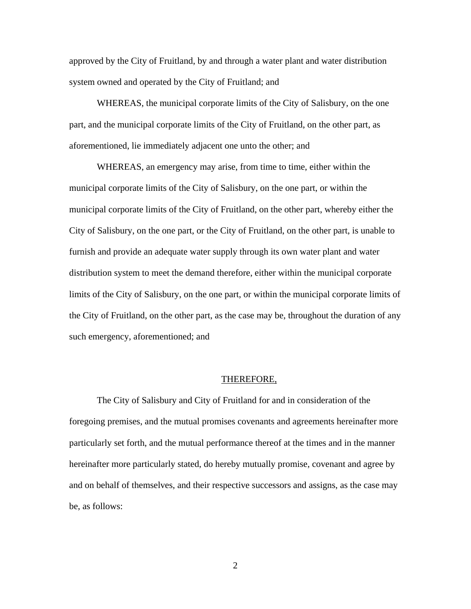approved by the City of Fruitland, by and through a water plant and water distribution system owned and operated by the City of Fruitland; and

WHEREAS, the municipal corporate limits of the City of Salisbury, on the one part, and the municipal corporate limits of the City of Fruitland, on the other part, as aforementioned, lie immediately adjacent one unto the other; and

WHEREAS, an emergency may arise, from time to time, either within the municipal corporate limits of the City of Salisbury, on the one part, or within the municipal corporate limits of the City of Fruitland, on the other part, whereby either the City of Salisbury, on the one part, or the City of Fruitland, on the other part, is unable to furnish and provide an adequate water supply through its own water plant and water distribution system to meet the demand therefore, either within the municipal corporate limits of the City of Salisbury, on the one part, or within the municipal corporate limits of the City of Fruitland, on the other part, as the case may be, throughout the duration of any such emergency, aforementioned; and

#### THEREFORE,

The City of Salisbury and City of Fruitland for and in consideration of the foregoing premises, and the mutual promises covenants and agreements hereinafter more particularly set forth, and the mutual performance thereof at the times and in the manner hereinafter more particularly stated, do hereby mutually promise, covenant and agree by and on behalf of themselves, and their respective successors and assigns, as the case may be, as follows: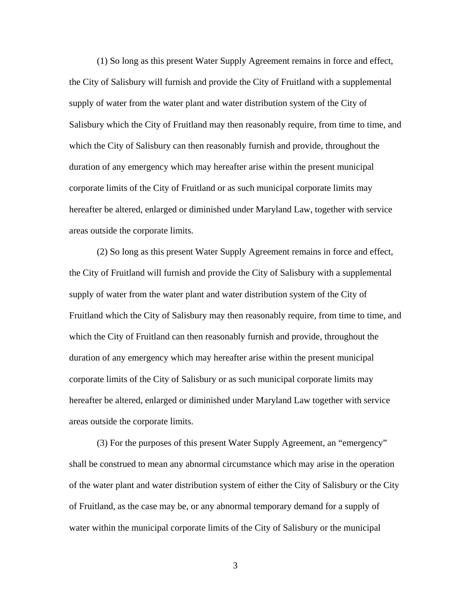(1) So long as this present Water Supply Agreement remains in force and effect, the City of Salisbury will furnish and provide the City of Fruitland with a supplemental supply of water from the water plant and water distribution system of the City of Salisbury which the City of Fruitland may then reasonably require, from time to time, and which the City of Salisbury can then reasonably furnish and provide, throughout the duration of any emergency which may hereafter arise within the present municipal corporate limits of the City of Fruitland or as such municipal corporate limits may hereafter be altered, enlarged or diminished under Maryland Law, together with service areas outside the corporate limits.

(2) So long as this present Water Supply Agreement remains in force and effect, the City of Fruitland will furnish and provide the City of Salisbury with a supplemental supply of water from the water plant and water distribution system of the City of Fruitland which the City of Salisbury may then reasonably require, from time to time, and which the City of Fruitland can then reasonably furnish and provide, throughout the duration of any emergency which may hereafter arise within the present municipal corporate limits of the City of Salisbury or as such municipal corporate limits may hereafter be altered, enlarged or diminished under Maryland Law together with service areas outside the corporate limits.

(3) For the purposes of this present Water Supply Agreement, an "emergency" shall be construed to mean any abnormal circumstance which may arise in the operation of the water plant and water distribution system of either the City of Salisbury or the City of Fruitland, as the case may be, or any abnormal temporary demand for a supply of water within the municipal corporate limits of the City of Salisbury or the municipal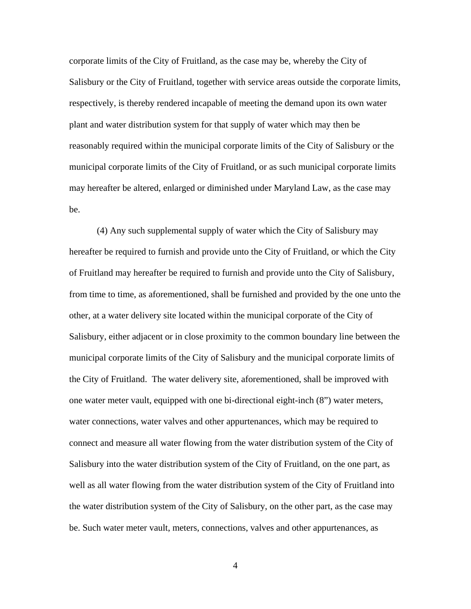corporate limits of the City of Fruitland, as the case may be, whereby the City of Salisbury or the City of Fruitland, together with service areas outside the corporate limits, respectively, is thereby rendered incapable of meeting the demand upon its own water plant and water distribution system for that supply of water which may then be reasonably required within the municipal corporate limits of the City of Salisbury or the municipal corporate limits of the City of Fruitland, or as such municipal corporate limits may hereafter be altered, enlarged or diminished under Maryland Law, as the case may be.

(4) Any such supplemental supply of water which the City of Salisbury may hereafter be required to furnish and provide unto the City of Fruitland, or which the City of Fruitland may hereafter be required to furnish and provide unto the City of Salisbury, from time to time, as aforementioned, shall be furnished and provided by the one unto the other, at a water delivery site located within the municipal corporate of the City of Salisbury, either adjacent or in close proximity to the common boundary line between the municipal corporate limits of the City of Salisbury and the municipal corporate limits of the City of Fruitland. The water delivery site, aforementioned, shall be improved with one water meter vault, equipped with one bi-directional eight-inch (8") water meters, water connections, water valves and other appurtenances, which may be required to connect and measure all water flowing from the water distribution system of the City of Salisbury into the water distribution system of the City of Fruitland, on the one part, as well as all water flowing from the water distribution system of the City of Fruitland into the water distribution system of the City of Salisbury, on the other part, as the case may be. Such water meter vault, meters, connections, valves and other appurtenances, as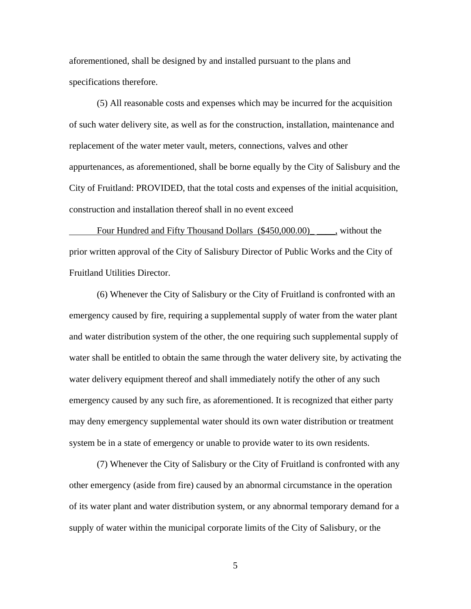aforementioned, shall be designed by and installed pursuant to the plans and specifications therefore.

(5) All reasonable costs and expenses which may be incurred for the acquisition of such water delivery site, as well as for the construction, installation, maintenance and replacement of the water meter vault, meters, connections, valves and other appurtenances, as aforementioned, shall be borne equally by the City of Salisbury and the City of Fruitland: PROVIDED, that the total costs and expenses of the initial acquisition, construction and installation thereof shall in no event exceed

Four Hundred and Fifty Thousand Dollars (\$450,000.00) \_\_\_\_\_, without the prior written approval of the City of Salisbury Director of Public Works and the City of Fruitland Utilities Director.

(6) Whenever the City of Salisbury or the City of Fruitland is confronted with an emergency caused by fire, requiring a supplemental supply of water from the water plant and water distribution system of the other, the one requiring such supplemental supply of water shall be entitled to obtain the same through the water delivery site, by activating the water delivery equipment thereof and shall immediately notify the other of any such emergency caused by any such fire, as aforementioned. It is recognized that either party may deny emergency supplemental water should its own water distribution or treatment system be in a state of emergency or unable to provide water to its own residents.

(7) Whenever the City of Salisbury or the City of Fruitland is confronted with any other emergency (aside from fire) caused by an abnormal circumstance in the operation of its water plant and water distribution system, or any abnormal temporary demand for a supply of water within the municipal corporate limits of the City of Salisbury, or the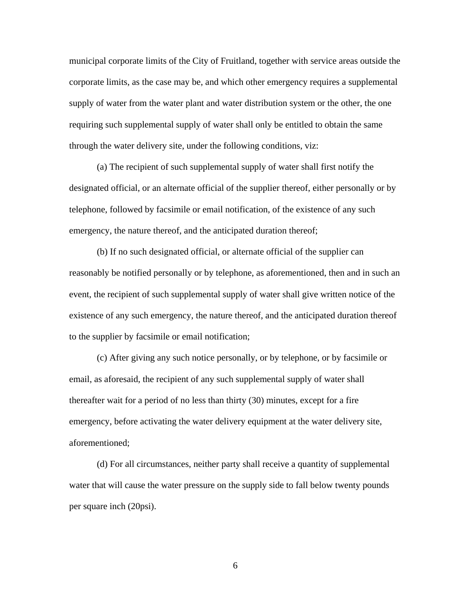municipal corporate limits of the City of Fruitland, together with service areas outside the corporate limits, as the case may be, and which other emergency requires a supplemental supply of water from the water plant and water distribution system or the other, the one requiring such supplemental supply of water shall only be entitled to obtain the same through the water delivery site, under the following conditions, viz:

(a) The recipient of such supplemental supply of water shall first notify the designated official, or an alternate official of the supplier thereof, either personally or by telephone, followed by facsimile or email notification, of the existence of any such emergency, the nature thereof, and the anticipated duration thereof;

(b) If no such designated official, or alternate official of the supplier can reasonably be notified personally or by telephone, as aforementioned, then and in such an event, the recipient of such supplemental supply of water shall give written notice of the existence of any such emergency, the nature thereof, and the anticipated duration thereof to the supplier by facsimile or email notification;

(c) After giving any such notice personally, or by telephone, or by facsimile or email, as aforesaid, the recipient of any such supplemental supply of water shall thereafter wait for a period of no less than thirty (30) minutes, except for a fire emergency, before activating the water delivery equipment at the water delivery site, aforementioned;

(d) For all circumstances, neither party shall receive a quantity of supplemental water that will cause the water pressure on the supply side to fall below twenty pounds per square inch (20psi).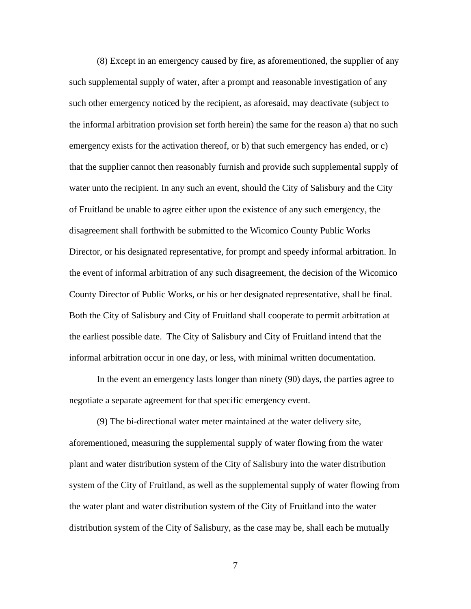(8) Except in an emergency caused by fire, as aforementioned, the supplier of any such supplemental supply of water, after a prompt and reasonable investigation of any such other emergency noticed by the recipient, as aforesaid, may deactivate (subject to the informal arbitration provision set forth herein) the same for the reason a) that no such emergency exists for the activation thereof, or b) that such emergency has ended, or c) that the supplier cannot then reasonably furnish and provide such supplemental supply of water unto the recipient. In any such an event, should the City of Salisbury and the City of Fruitland be unable to agree either upon the existence of any such emergency, the disagreement shall forthwith be submitted to the Wicomico County Public Works Director, or his designated representative, for prompt and speedy informal arbitration. In the event of informal arbitration of any such disagreement, the decision of the Wicomico County Director of Public Works, or his or her designated representative, shall be final. Both the City of Salisbury and City of Fruitland shall cooperate to permit arbitration at the earliest possible date. The City of Salisbury and City of Fruitland intend that the informal arbitration occur in one day, or less, with minimal written documentation.

In the event an emergency lasts longer than ninety (90) days, the parties agree to negotiate a separate agreement for that specific emergency event.

(9) The bi-directional water meter maintained at the water delivery site, aforementioned, measuring the supplemental supply of water flowing from the water plant and water distribution system of the City of Salisbury into the water distribution system of the City of Fruitland, as well as the supplemental supply of water flowing from the water plant and water distribution system of the City of Fruitland into the water distribution system of the City of Salisbury, as the case may be, shall each be mutually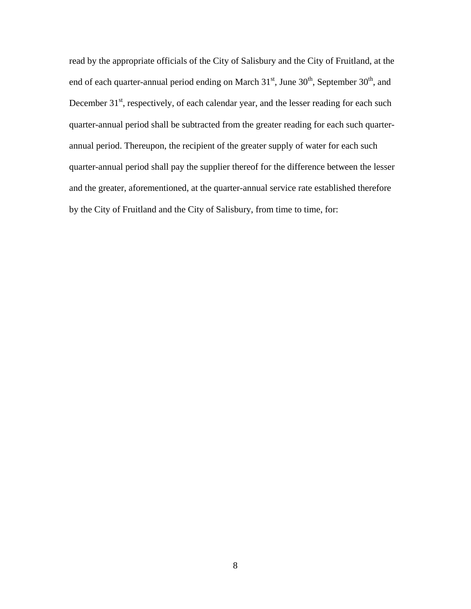read by the appropriate officials of the City of Salisbury and the City of Fruitland, at the end of each quarter-annual period ending on March  $31<sup>st</sup>$ , June  $30<sup>th</sup>$ , September  $30<sup>th</sup>$ , and December  $31<sup>st</sup>$ , respectively, of each calendar year, and the lesser reading for each such quarter-annual period shall be subtracted from the greater reading for each such quarterannual period. Thereupon, the recipient of the greater supply of water for each such quarter-annual period shall pay the supplier thereof for the difference between the lesser and the greater, aforementioned, at the quarter-annual service rate established therefore by the City of Fruitland and the City of Salisbury, from time to time, for: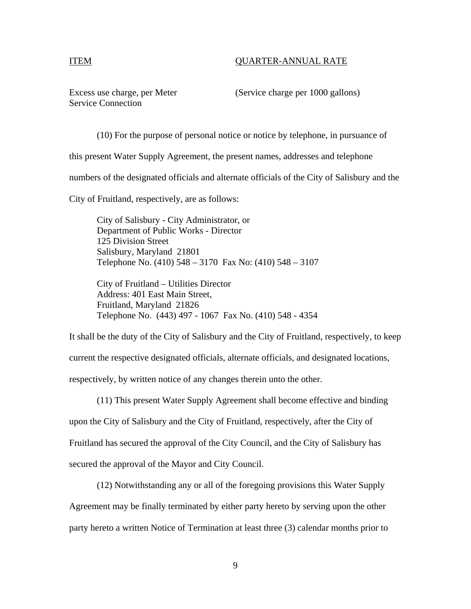# ITEM QUARTER-ANNUAL RATE

Service Connection

Excess use charge, per Meter (Service charge per 1000 gallons)

(10) For the purpose of personal notice or notice by telephone, in pursuance of this present Water Supply Agreement, the present names, addresses and telephone

numbers of the designated officials and alternate officials of the City of Salisbury and the

City of Fruitland, respectively, are as follows:

 City of Salisbury - City Administrator, or Department of Public Works - Director 125 Division Street Salisbury, Maryland 21801 Telephone No. (410) 548 – 3170 Fax No: (410) 548 – 3107

 City of Fruitland – Utilities Director Address: 401 East Main Street, Fruitland, Maryland 21826 Telephone No. (443) 497 - 1067 Fax No. (410) 548 - 4354

It shall be the duty of the City of Salisbury and the City of Fruitland, respectively, to keep current the respective designated officials, alternate officials, and designated locations, respectively, by written notice of any changes therein unto the other.

(11) This present Water Supply Agreement shall become effective and binding upon the City of Salisbury and the City of Fruitland, respectively, after the City of Fruitland has secured the approval of the City Council, and the City of Salisbury has secured the approval of the Mayor and City Council.

(12) Notwithstanding any or all of the foregoing provisions this Water Supply Agreement may be finally terminated by either party hereto by serving upon the other party hereto a written Notice of Termination at least three (3) calendar months prior to